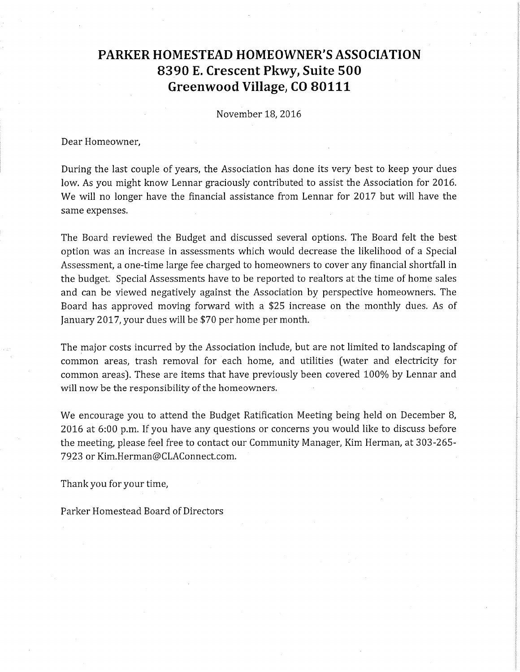# **PARKER HOMESTEAD HOMEOWNER'S ASSOCIATION 8390 E Crescent Pkwy, Suite 500 Greenwood Village, CO 80111**

November 18, 2016

Dear Homeowner,

During the last couple of years, the Association has done its very best to keep your dues low. As you might know Lennar graciously contributed to assist the Association for 2016. We will no longer have the financial assistance from Lennar for 2017 but will have the same expenses.

The Board reviewed the Budget and discussed several options. The Board felt the best option was an increase in assessments which would decrease the likelihood of a Special Assessment, a one-time large fee charged to homeowners to cover any financial shortfall in the budget. Special Assessments have to be reported to realtors at the time of home sales and can be viewed negatively against the Association by perspective homeowners. The Board has approved moving forward with a \$25 increase on the monthly dues. As of January 2017, your dues will be \$70 per home per month.

The major costs incurred by the Association include, but are not limited to landscaping of common areas, trash removal for each home, and utilities (water and electricity for common areas). These are items that have previously been covered 100% by Lennar and will now be the responsibility of the homeowners.

We encourage you to attend the Budget Ratification Meeting being held on December 8, 2016 at 6:00 p.m. If you have any questions or concerns you would like to discuss before the meeting, please feel free to contact our Community Manager, Kim Herman, at 303-265- 7923 or Kim.Herman@CLAConnect.com.

Thank you for your time,

Parker Homestead Board of Directors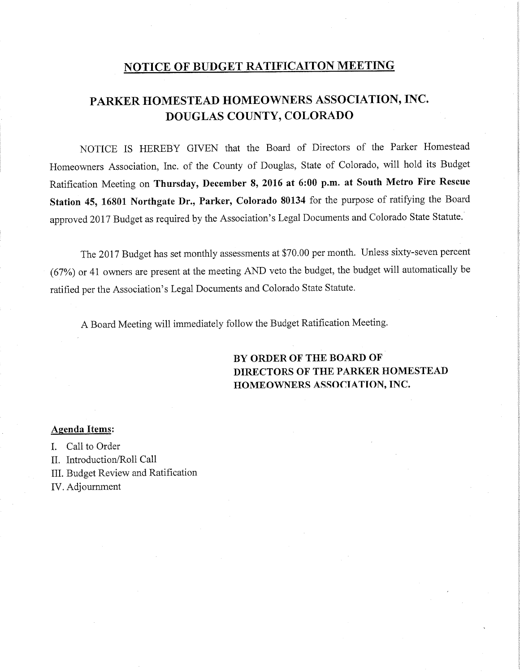## NOTICE OF **BUDGET RATIFICAITON MEETING**

## **PARKER HOMESTEAD HOMEOWNERS ASSOCIATION, INC. DOUGLAS COUNTY, COLORADO**

NOTICE IS HEREBY GIVEN that the Board of Directors of the Parker Homestead Homeowners Association, Inc. of the County of Douglas, State of Colorado, will hold its Budget Ratification Meeting on **Thursday, December 8, 2016 at 6:00 p.m. at South Metro Fire Rescue Station 45, 16801 Northgate Dr., Parker, Colorado 80134** for the purpose of ratifying the Board approved 2017 Budget as required by the Association's Legal Documents and Colorado State Statute.

The 2017 Budget has set monthly assessments at \$70.00 per month. Unless sixty-seven percent (67%) or 41 owners are present at the meeting AND veto the budget, the budget will automatically be ratified per the Association's Legal Documents and Colorado State Statute.

A Board Meeting will immediately follow the Budget Ratification Meeting.

## **BY ORDER OF THE BOARD OF DIRECTORS OF THE PARKER HOMESTEAD HOMEOWNERS ASSOCIATION, INC.**

### **Agenda Items:**

I. Call to Order

- II. Introduction/Roll Call
- III. Budget Review and Ratification
- IV. Adjournment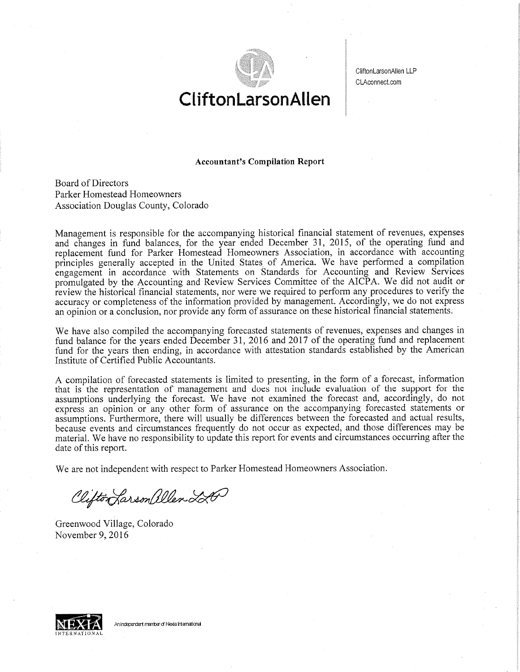

CliftonLarsonAllen LLP CLAconnect.com

# **CUftonLarsonAllen**

#### **Accountant's Compilation Report**

Board of Directors Parker Homestead Homeowners Association Douglas County, Colorado

Management is responsible for the accompanying historical financial statement of revenues, expenses and changes in fund balances, for the year ended December 31, 2015, of the operating fund and replacement fund for Parker Homestead Homeowners Association, in accordance with accounting principles generally accepted in the United States of America. We have performed a compilation engagement in accordance with Statements on Standards for Accounting and Review Services promulgated by the Accounting and Review Services Committee of the AICPA. We did not audit or review the historical financial statements, nor were we required to perform any procedures to verify the accuracy or completeness of the information provided by management. Accordingly, we do not express an opinion or a conclusion, nor provide any form of assurance on these historical financial statements.

We have also compiled the accompanying forecasted statements of revenues, expenses and changes in fund balance for the years ended December 31, 2016 and 2017 of the operating fund and replacement fund for the years then ending, in accordance with attestation standards established by the American Institute of Certified Public Accountants.

A compilation of forecasted statements is limited to presenting, in the form of a forecast, information that is the representation of management and does not include evaluation of the support for the assumptions underlying the forecast. We have not examined the forecast and, accordingly, do not express an opinion or any other form of assurance on the accompanying forecasted statements or assumptions. Furthermore, there will usually be differences between the forecasted and actual results, because events and circumstances frequently do not occur as expected, and those differences may be material. We have no responsibility to update this report for events and circumstances occurring after the date of this report.

We are not independent with respect to Parker Homestead Homeowners Association.

Clifton Larson allen LA

Greenwood Village, Colorado November 9, 2016



An independent member of Nexia International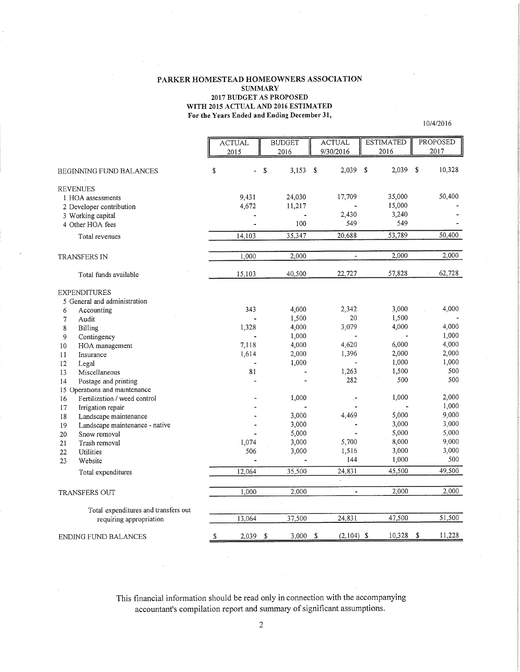#### PARKER HOMESTEAD HOMEOWNERS ASSOCIATION **SUMMARY** 2017 BUDGET AS PROPOSED WITH 2015 ACTUAL **AND 2016 ESTIMATED For the Years Ended and Ending December 31,**

10/4/20 16

|                                                                                                           | <b>ACTUAL</b><br>2015 | <b>BUDGET</b><br>2016   |    | <b>ACTUAL</b><br>9/30/2016 |              | <b>ESTIMATED</b><br>2016         |     | PROPOSED<br>2017 |
|-----------------------------------------------------------------------------------------------------------|-----------------------|-------------------------|----|----------------------------|--------------|----------------------------------|-----|------------------|
| <b>BEGINNING FUND BALANCES</b>                                                                            | \$<br>a.              | \$<br>3,153             | S. | 2,039                      | $\mathbb{S}$ | 2,039                            | -\$ | 10,328           |
| <b>REVENUES</b><br>1 HOA assessments<br>2 Developer contribution<br>3 Working capital<br>4 Other HOA fees | 9,431<br>4,672        | 24,030<br>11,217<br>100 |    | 17,709<br>2,430<br>549     |              | 35,000<br>15,000<br>3,240<br>549 |     | 50,400           |
| Total revenues                                                                                            | 14,103                | 35,347                  |    | 20,688                     |              | 53,789                           |     | 50,400           |
| <b>TRANSFERS IN</b>                                                                                       | 1,000                 | 2,000                   |    | ä,                         |              | 2,000                            |     | 2,000            |
| Total funds available                                                                                     | 15,103                | 40,500                  |    | 22,727                     |              | 57,828                           |     | 62,728           |
| <b>EXPENDITURES</b><br>5 General and administration                                                       |                       |                         |    |                            |              |                                  |     |                  |
| 6<br>Accounting<br>7<br>Audit                                                                             | 343                   | 4,000<br>1,500          |    | 2,342<br>20                |              | 3,000<br>1,500                   |     | 4,000            |
| $\bf 8$<br><b>Billing</b><br>9<br>Contingency                                                             | 1,328                 | 4,000<br>1,000          |    | 3,079                      |              | 4,000                            |     | 4,000<br>1,000   |
| 10<br>HOA management<br>11<br>Insurance                                                                   | 7,118<br>1,614        | 4,000<br>2,000          |    | 4,620<br>1,396             |              | 6,000<br>2,000                   |     | 4,000<br>2,000   |
| 12<br>Legal<br>Miscellaneous<br>13                                                                        | 81                    | 1,000                   |    | 1,263                      |              | 1,000<br>1,500                   |     | 1,000<br>500     |
| 14<br>Postage and printing                                                                                |                       |                         |    | 282                        |              | 500                              |     | 500              |
| 15 Operations and maintenance<br>Fertilization / weed control<br>16                                       |                       | 1,000                   |    |                            |              | 1,000                            |     | 2.000            |
| 17<br>Irrigation repair<br>18<br>Landscape maintenance                                                    |                       | 3,000                   |    | 4,469                      |              | 5,000                            |     | 1,000<br>9,000   |
| 19<br>Landscape maintenance - native<br>20<br>Snow removal                                                |                       | 3,000<br>5,000          |    |                            |              | 3,000<br>5,000                   |     | 3,000<br>5,000   |
| 21<br>Trash removal<br>22<br>Utilities                                                                    | 1,074<br>506          | 3,000<br>3,000          |    | 5,700<br>1,516             |              | 8,000<br>3,000                   |     | 9,000<br>3,000   |
| 23<br>Website                                                                                             |                       |                         |    | 144                        |              | 1,000                            |     | 500<br>49,500    |
| Total expenditures                                                                                        | 12,064                | 35,500                  |    | 24,831                     |              | 45,500                           |     |                  |
| <b>TRANSFERS OUT</b>                                                                                      | 1,000                 | 2.000                   |    | $\blacksquare$             |              | 2.000                            |     | 2,000            |
| Total expenditures and transfers out<br>requiring appropriation                                           | 13,064                | 37,500                  |    | 24,831                     |              | 47,500                           |     | 51,500           |
| ENDING FUND BALANCES                                                                                      | \$<br>2,039           | \$<br>3.000             | \$ | $(2,104)$ \$               |              | 10,328                           | \$  | 11,228           |

This financial information should be read only in connection with the accompanying accountant's compilation report and summary of significant assumptions.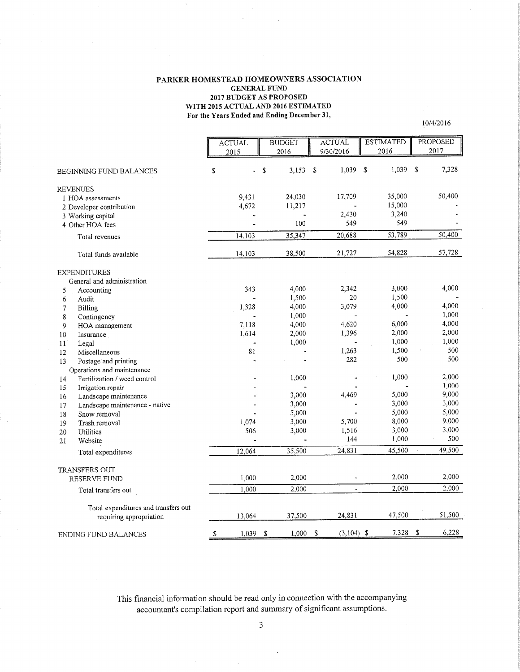#### **PARKER HOMESTEAD HOMEOWNERS ASSOCIATION GENERAL FUND 2017 BUDGET AS PROPOSED WITH 2015 ACTUAL AND 2016 ESTIMATED For the Years Ended and Ending December 31,**

10/4/2016

ACTUAL BUDGET ACTUAL ESTIMATED **PROPOSED** 2015 | 2016 | 9/30/2016 | 2016 2017 BEGINNTNG FUND BALANCES \$ \$ 3,153 \$ *1,039 \$* 1,039 \$ 7,328 **REVENUES** 1 HOA assessments 9,431 24,030 17,709 35,000 50,400 2 Developer contribution 4,672 11,217 - 15,000 -2,430 3,240 3 Working capital 4 Other HOA fees *-* 100 *549 549*  Total revenues 14,103 35,347 20,688 *53,789* 50,400 Total funds available 14,103 38,500 21,727 54,828 57,728 **EXPENDITURES** General and administration *5* Accounting 343 4,000 2,342 3,000 4,000 1,500 20 1,500<br>4,000 3,079 4,000 6 Audit 7 Billing 1,328 4,000 3,079 4,000 4,000 8 Contingency - 1,000 - - 1,000 9 HOA management 7,118 4,000 4,620 6,000 4,000 10 Insurance 1,614 2,000 1,396 2,000 2,000 11 Legal 1,000 1,000 1,000 12 Miscellaneous 81 - 1,263 1,500 500 13 Postage and printing - 282 500 500 Operations and maintenance 14 Fertilization / weed control 1,000 1,000 2,000 1,000 15 Irrigation repair *16* Landscape maintenance  $-$  3,000 4,469 5,000 9,000 17 Landscape maintenance - native  $-$  3,000  $-$  3,000 3,000 18 Snow removal - 5,000 - 5,000 *5,000*  19 Trash removal 1,074 3,000 5,700 8,000 9,000 *506* 3,000 *1,516* 3,000 3,000 20 Utilities 21 Website - - 144 1,000 500 Total expenditures 12,064 35,500 24,831 45,500 *49,500*  TRANSFERS OUT RESERVE FUND 1,000 2,000 - 2,000 2,000 Total transfers out  $1,000$  2,000 - 2,000 2,000 Total expenditures and transfers out requiring appropriation 13,064 37,500 24,831 47,500 51,500 \$ 1,039 \$ 1,000 \$ (3,104) \$ 7,328 \$ 6,228 ENDING FUND BALANCES

> This financial information should be read only in connection with the accompanying accountant's compilation report and summary of significant assumptions.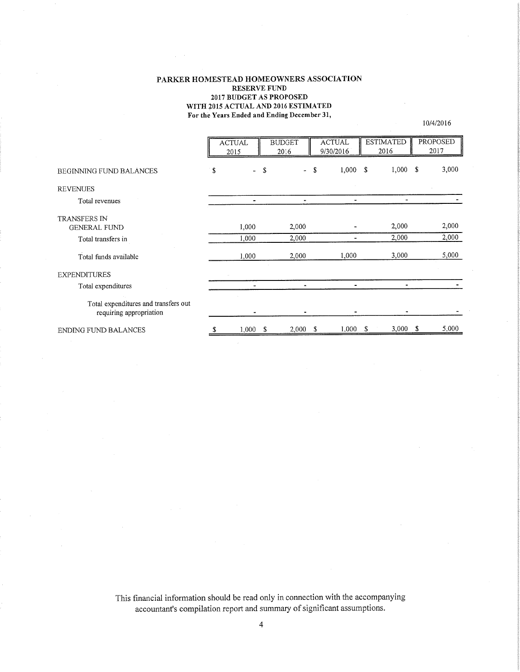#### **PARKER HOMESTEAD HOMEOWNERS ASSOCIATION RESERVE FUND 2017 BUDGET AS PROPOSED WITH 2015 ACTUAL AND 2016 ESTIMATED For the Years Ended and Ending December 31,**

10/4/20 16

|                                                                 | <b>ACTUAL</b><br>2015 |      | <b>BUDGET</b><br>2016 |     | <b>ACTUAL</b><br>9/30/2016 |      | <b>ESTIMATED</b><br>2016 |   | PROPOSED<br>2017 |
|-----------------------------------------------------------------|-----------------------|------|-----------------------|-----|----------------------------|------|--------------------------|---|------------------|
| BEGINNING FUND BALANCES                                         | \$                    | - \$ | $\bullet$             | S   | 1,000                      | - \$ | 1,000                    | S | 3,000            |
| <b>REVENUES</b>                                                 |                       |      |                       |     |                            |      |                          |   |                  |
| Total revenues                                                  | $\overline{a}$        |      |                       |     |                            |      |                          |   |                  |
| <b>TRANSFERS IN</b>                                             |                       |      |                       |     |                            |      |                          |   |                  |
| <b>GENERAL FUND</b>                                             | 1,000                 |      | 2,000                 |     |                            |      | 2,000                    |   | 2,000            |
| Total transfers in                                              | 1,000                 |      | 2,000                 |     |                            |      | 2,000                    |   | 2,000            |
| Total funds available                                           | 1,000                 |      | 2,000                 |     | 1,000                      |      | 3,000                    |   | 5,000            |
| <b>EXPENDITURES</b>                                             |                       |      |                       |     |                            |      |                          |   |                  |
| Total expenditures                                              |                       |      | ٠                     |     | ۰                          |      |                          |   |                  |
| Total expenditures and transfers out<br>requiring appropriation |                       |      |                       |     |                            |      |                          |   |                  |
| <b>ENDING FUND BALANCES</b>                                     | 1,000S                |      | 2,000                 | -\$ | $1,000$ \$                 |      | $3,000$ \$               |   | 5,000            |

This financial information should be read only in connection with the accompanying accountant's compilation report and summary of significant assumptions.